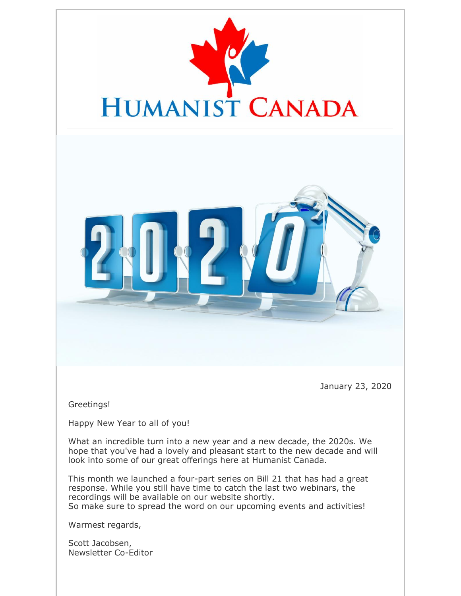



January 23, 2020

Greetings!

Happy New Year to all of you!

What an incredible turn into a new year and a new decade, the 2020s. We hope that you've had a lovely and pleasant start to the new decade and will look into some of our great offerings here at Humanist Canada.

This month we launched a four-part series on Bill 21 that has had a great response. While you still have time to catch the last two webinars, the recordings will be available on our website shortly. So make sure to spread the word on our upcoming events and activities!

Warmest regards,

Scott Jacobsen, Newsletter Co-Editor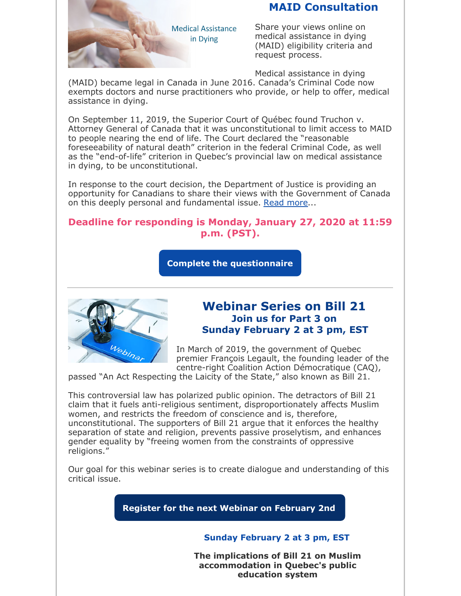# **MAID Consultation**



Share your views online on medical assistance in dying (MAID) eligibility criteria and request process.

Medical assistance in dying

(MAID) became legal in Canada in June 2016. Canada's Criminal Code now exempts doctors and nurse practitioners who provide, or help to offer, medical assistance in dying.

On September 11, 2019, the Superior Court of Québec found Truchon v. Attorney General of Canada that it was unconstitutional to limit access to MAID to people nearing the end of life. The Court declared the "reasonable foreseeability of natural death" criterion in the federal Criminal Code, as well as the "end-of-life" criterion in Quebec's provincial law on medical assistance in dying, to be unconstitutional.

In response to the court decision, the Department of Justice is providing an opportunity for Canadians to share their views with the Government of Canada on this deeply personal and fundamental issue. Read more...

## **Deadline for responding is Monday, January 27, 2020 at 11:59 p.m. (PST).**

**Complete the questionnaire**



## **Webinar Series on Bill 21 Join us for Part 3 on Sunday February 2 at 3 pm, EST**

In March of 2019, the government of Quebec premier François Legault, the founding leader of the centre-right Coalition Action Démocratique (CAQ),

passed "An Act Respecting the Laicity of the State," also known as Bill 21.

This controversial law has polarized public opinion. The detractors of Bill 21 claim that it fuels anti-religious sentiment, disproportionately affects Muslim women, and restricts the freedom of conscience and is, therefore, unconstitutional. The supporters of Bill 21 argue that it enforces the healthy separation of state and religion, prevents passive proselytism, and enhances gender equality by "freeing women from the constraints of oppressive religions."

Our goal for this webinar series is to create dialogue and understanding of this critical issue.

**Register for the next Webinar on February 2nd**

#### **Sunday February 2 at 3 pm, EST**

**The implications of Bill 21 on Muslim accommodation in Quebec's public education system**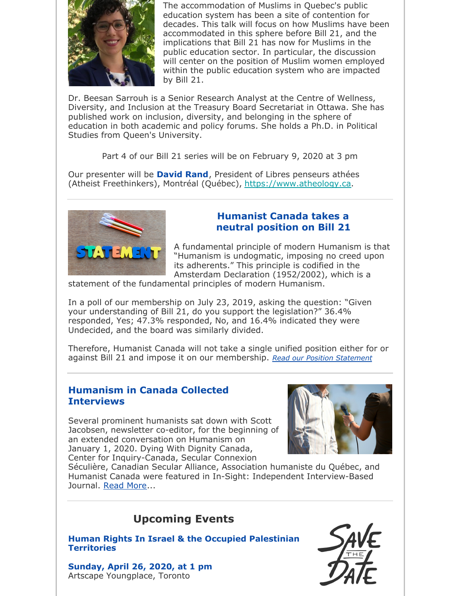

The accommodation of Muslims in Quebec's public education system has been a site of contention for decades. This talk will focus on how Muslims have been accommodated in this sphere before Bill 21, and the implications that Bill 21 has now for Muslims in the public education sector. In particular, the discussion will center on the position of Muslim women employed within the public education system who are impacted by Bill 21.

Dr. Beesan Sarrouh is a Senior Research Analyst at the Centre of Wellness, Diversity, and Inclusion at the Treasury Board Secretariat in Ottawa. She has published work on inclusion, diversity, and belonging in the sphere of education in both academic and policy forums. She holds a Ph.D. in Political Studies from Queen's University.

Part 4 of our Bill 21 series will be on February 9, 2020 at 3 pm

Our presenter will be **David Rand**, President of Libres penseurs athées (Atheist Freethinkers), Montréal (Québec), https://www.atheology.ca.



## **Humanist Canada takes a neutral position on Bill 21**

A fundamental principle of modern Humanism is that "Humanism is undogmatic, imposing no creed upon its adherents." This principle is codified in the Amsterdam Declaration (1952/2002), which is a

statement of the fundamental principles of modern Humanism.

In a poll of our membership on July 23, 2019, asking the question: "Given your understanding of Bill 21, do you support the legislation?" 36.4% responded, Yes; 47.3% responded, No, and 16.4% indicated they were Undecided, and the board was similarly divided.

Therefore, Humanist Canada will not take a single unified position either for or against Bill 21 and impose it on our membership. *Read our Position Statement*

### **Humanism in Canada Collected Interviews**

Several prominent humanists sat down with Scott Jacobsen, newsletter co-editor, for the beginning of an extended conversation on Humanism on January 1, 2020. Dying With Dignity Canada, Center for Inquiry-Canada, Secular Connexion



Séculière, Canadian Secular Alliance, Association humaniste du Québec, and Humanist Canada were featured in In-Sight: Independent Interview-Based Journal. Read More...

# **Upcoming Events**

**Human Rights In Israel & the Occupied Palestinian Territories**

**Sunday, April 26, 2020, at 1 pm** Artscape Youngplace, Toronto

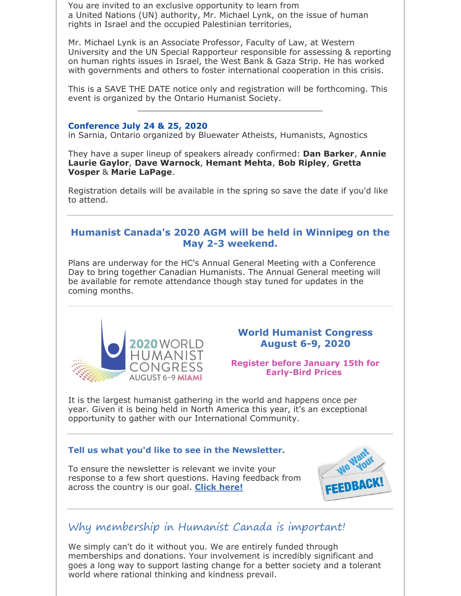You are invited to an exclusive opportunity to learn from a United Nations (UN) authority, Mr. Michael Lynk, on the issue of human rights in Israel and the occupied Palestinian territories,

Mr. Michael Lynk is an Associate Professor, Faculty of Law, at Western University and the UN Special Rapporteur responsible for assessing & reporting on human rights issues in Israel, the West Bank & Gaza Strip. He has worked with governments and others to foster international cooperation in this crisis.

This is a SAVE THE DATE notice only and registration will be forthcoming. This event is organized by the Ontario Humanist Society. \_\_\_\_\_\_\_\_\_\_\_\_\_\_\_\_\_\_\_\_\_\_\_\_\_\_\_\_\_\_\_\_\_\_\_\_

#### **Conference July 24 & 25, 2020**

in Sarnia, Ontario organized by Bluewater Atheists, Humanists, Agnostics

They have a super lineup of speakers already confirmed: **Dan Barker**, **Annie Laurie Gaylor**, **Dave Warnock**, **Hemant Mehta**, **Bob Ripley**, **Gretta Vosper** & **Marie LaPage**.

Registration details will be available in the spring so save the date if you'd like to attend.

## **Humanist Canada's 2020 AGM will be held in Winnipeg on the May 2-3 weekend.**

Plans are underway for the HC's Annual General Meeting with a Conference Day to bring together Canadian Humanists. The Annual General meeting will be available for remote attendance though stay tuned for updates in the coming months.



## **World Humanist Congress August 6-9, 2020**

#### **Register before January 15th for Early-Bird Prices**

It is the largest humanist gathering in the world and happens once per year. Given it is being held in North America this year, it's an exceptional opportunity to gather with our International Community.

## **Tell us what you'd like to see in the Newsletter.**

To ensure the newsletter is relevant we invite your response to a few short questions. Having feedback from across the country is our goal. **Click here!**



# Why membership in Humanist Canada is important!

We simply can't do it without you. We are entirely funded through memberships and donations. Your involvement is incredibly significant and goes a long way to support lasting change for a better society and a tolerant world where rational thinking and kindness prevail.